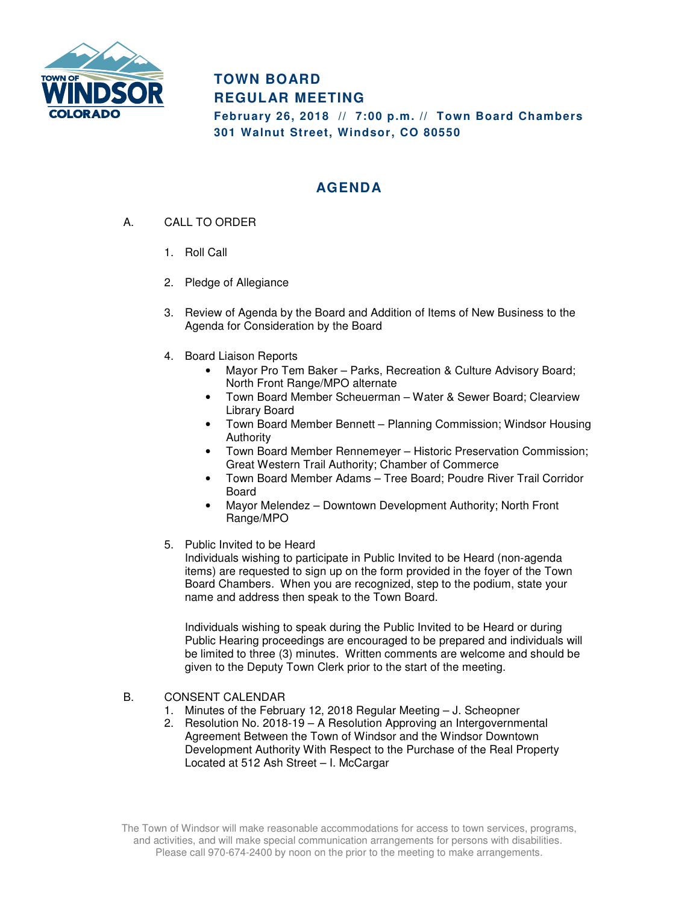

## **TOWN BOARD REGULAR MEETING**

**February 26, 2018 // 7:00 p.m. // Town Board Chambers 301 Walnut Street, Windsor, CO 80550** 

## **AGENDA**

- A. CALL TO ORDER
	- 1. Roll Call
	- 2. Pledge of Allegiance
	- 3. Review of Agenda by the Board and Addition of Items of New Business to the Agenda for Consideration by the Board
	- 4. Board Liaison Reports
		- Mayor Pro Tem Baker Parks, Recreation & Culture Advisory Board; North Front Range/MPO alternate
		- Town Board Member Scheuerman Water & Sewer Board; Clearview Library Board
		- Town Board Member Bennett Planning Commission; Windsor Housing Authority
		- Town Board Member Rennemeyer Historic Preservation Commission; Great Western Trail Authority; Chamber of Commerce
		- Town Board Member Adams Tree Board; Poudre River Trail Corridor Board
		- Mayor Melendez Downtown Development Authority; North Front Range/MPO
	- 5. Public Invited to be Heard

Individuals wishing to participate in Public Invited to be Heard (non-agenda items) are requested to sign up on the form provided in the foyer of the Town Board Chambers. When you are recognized, step to the podium, state your name and address then speak to the Town Board.

Individuals wishing to speak during the Public Invited to be Heard or during Public Hearing proceedings are encouraged to be prepared and individuals will be limited to three (3) minutes. Written comments are welcome and should be given to the Deputy Town Clerk prior to the start of the meeting.

- B. CONSENT CALENDAR
	- 1. Minutes of the February 12, 2018 Regular Meeting J. Scheopner
	- 2. Resolution No. 2018-19 A Resolution Approving an Intergovernmental Agreement Between the Town of Windsor and the Windsor Downtown Development Authority With Respect to the Purchase of the Real Property Located at 512 Ash Street – I. McCargar

The Town of Windsor will make reasonable accommodations for access to town services, programs, and activities, and will make special communication arrangements for persons with disabilities. Please call 970-674-2400 by noon on the prior to the meeting to make arrangements.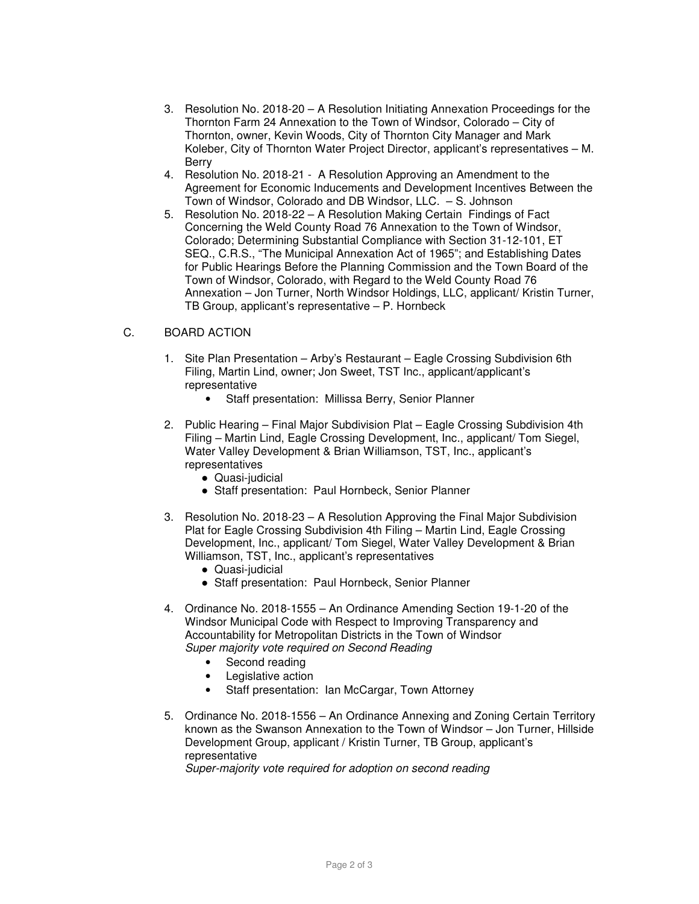- 3. Resolution No. 2018-20 A Resolution Initiating Annexation Proceedings for the Thornton Farm 24 Annexation to the Town of Windsor, Colorado – City of Thornton, owner, Kevin Woods, City of Thornton City Manager and Mark Koleber, City of Thornton Water Project Director, applicant's representatives – M. Berry
- 4. Resolution No. 2018-21 A Resolution Approving an Amendment to the Agreement for Economic Inducements and Development Incentives Between the Town of Windsor, Colorado and DB Windsor, LLC. – S. Johnson
- 5. Resolution No. 2018-22 A Resolution Making Certain Findings of Fact Concerning the Weld County Road 76 Annexation to the Town of Windsor, Colorado; Determining Substantial Compliance with Section 31-12-101, ET SEQ., C.R.S., "The Municipal Annexation Act of 1965"; and Establishing Dates for Public Hearings Before the Planning Commission and the Town Board of the Town of Windsor, Colorado, with Regard to the Weld County Road 76 Annexation – Jon Turner, North Windsor Holdings, LLC, applicant/ Kristin Turner, TB Group, applicant's representative – P. Hornbeck

## C. BOARD ACTION

- 1. Site Plan Presentation Arby's Restaurant Eagle Crossing Subdivision 6th Filing, Martin Lind, owner; Jon Sweet, TST Inc., applicant/applicant's representative
	- Staff presentation: Millissa Berry, Senior Planner
- 2. Public Hearing Final Major Subdivision Plat Eagle Crossing Subdivision 4th Filing – Martin Lind, Eagle Crossing Development, Inc., applicant/ Tom Siegel, Water Valley Development & Brian Williamson, TST, Inc., applicant's representatives
	- Quasi-judicial
	- Staff presentation: Paul Hornbeck, Senior Planner
- 3. Resolution No. 2018-23 A Resolution Approving the Final Major Subdivision Plat for Eagle Crossing Subdivision 4th Filing – Martin Lind, Eagle Crossing Development, Inc., applicant/ Tom Siegel, Water Valley Development & Brian Williamson, TST, Inc., applicant's representatives
	- Quasi-judicial
	- Staff presentation: Paul Hornbeck, Senior Planner
- 4. Ordinance No. 2018-1555 An Ordinance Amending Section 19-1-20 of the Windsor Municipal Code with Respect to Improving Transparency and Accountability for Metropolitan Districts in the Town of Windsor Super majority vote required on Second Reading
	- Second reading
	- Legislative action
	- Staff presentation: Ian McCargar, Town Attorney
- 5. Ordinance No. 2018-1556 An Ordinance Annexing and Zoning Certain Territory known as the Swanson Annexation to the Town of Windsor – Jon Turner, Hillside Development Group, applicant / Kristin Turner, TB Group, applicant's representative

Super-majority vote required for adoption on second reading